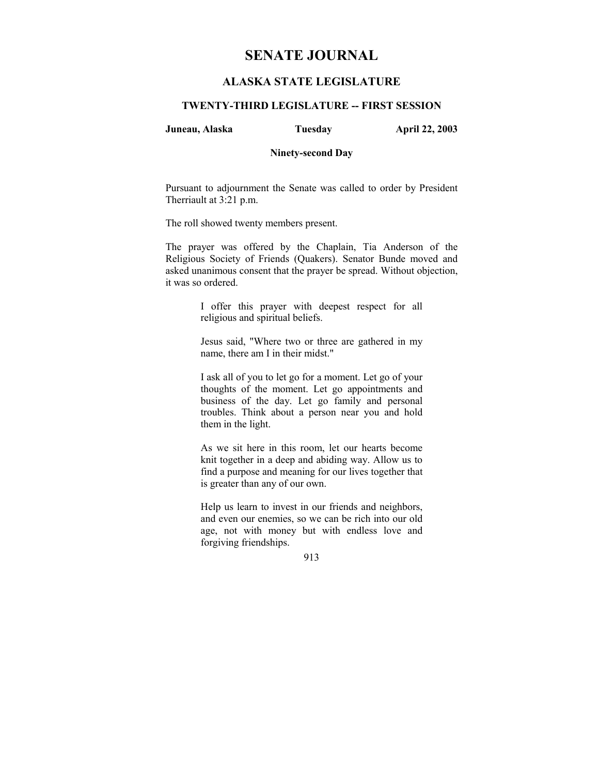# **SENATE JOURNAL**

# **ALASKA STATE LEGISLATURE**

## **TWENTY-THIRD LEGISLATURE -- FIRST SESSION**

**Juneau, Alaska Tuesday April 22, 2003** 

#### **Ninety-second Day**

Pursuant to adjournment the Senate was called to order by President Therriault at 3:21 p.m.

The roll showed twenty members present.

The prayer was offered by the Chaplain, Tia Anderson of the Religious Society of Friends (Quakers). Senator Bunde moved and asked unanimous consent that the prayer be spread. Without objection, it was so ordered.

> I offer this prayer with deepest respect for all religious and spiritual beliefs.

> Jesus said, "Where two or three are gathered in my name, there am I in their midst."

> I ask all of you to let go for a moment. Let go of your thoughts of the moment. Let go appointments and business of the day. Let go family and personal troubles. Think about a person near you and hold them in the light.

> As we sit here in this room, let our hearts become knit together in a deep and abiding way. Allow us to find a purpose and meaning for our lives together that is greater than any of our own.

> Help us learn to invest in our friends and neighbors, and even our enemies, so we can be rich into our old age, not with money but with endless love and forgiving friendships.

> > 913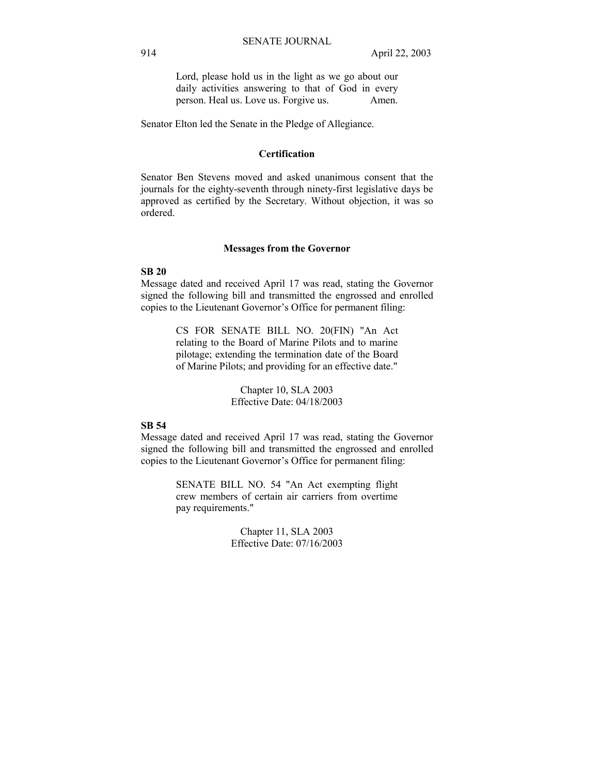Lord, please hold us in the light as we go about our daily activities answering to that of God in every person. Heal us. Love us. Forgive us. Amen.

Senator Elton led the Senate in the Pledge of Allegiance.

## **Certification**

Senator Ben Stevens moved and asked unanimous consent that the journals for the eighty-seventh through ninety-first legislative days be approved as certified by the Secretary. Without objection, it was so ordered.

#### **Messages from the Governor**

#### **SB 20**

Message dated and received April 17 was read, stating the Governor signed the following bill and transmitted the engrossed and enrolled copies to the Lieutenant Governor's Office for permanent filing:

> CS FOR SENATE BILL NO. 20(FIN) "An Act relating to the Board of Marine Pilots and to marine pilotage; extending the termination date of the Board of Marine Pilots; and providing for an effective date."

> > Chapter 10, SLA 2003 Effective Date: 04/18/2003

### **SB 54**

Message dated and received April 17 was read, stating the Governor signed the following bill and transmitted the engrossed and enrolled copies to the Lieutenant Governor's Office for permanent filing:

> SENATE BILL NO. 54 "An Act exempting flight crew members of certain air carriers from overtime pay requirements."

> > Chapter 11, SLA 2003 Effective Date: 07/16/2003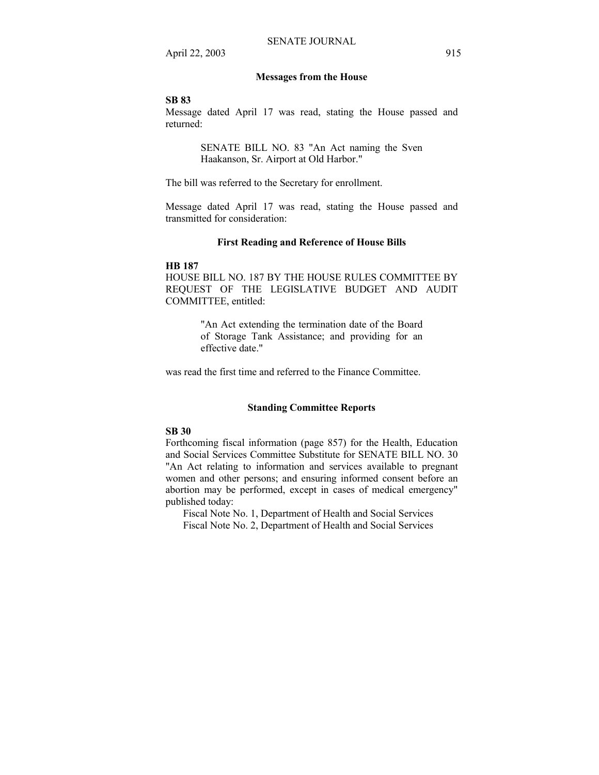#### **Messages from the House**

#### **SB 83**

Message dated April 17 was read, stating the House passed and returned:

> SENATE BILL NO. 83 "An Act naming the Sven Haakanson, Sr. Airport at Old Harbor."

The bill was referred to the Secretary for enrollment.

Message dated April 17 was read, stating the House passed and transmitted for consideration:

#### **First Reading and Reference of House Bills**

#### **HB 187**

HOUSE BILL NO. 187 BY THE HOUSE RULES COMMITTEE BY REQUEST OF THE LEGISLATIVE BUDGET AND AUDIT COMMITTEE, entitled:

> "An Act extending the termination date of the Board of Storage Tank Assistance; and providing for an effective date."

was read the first time and referred to the Finance Committee.

#### **Standing Committee Reports**

## **SB 30**

Forthcoming fiscal information (page 857) for the Health, Education and Social Services Committee Substitute for SENATE BILL NO. 30 "An Act relating to information and services available to pregnant women and other persons; and ensuring informed consent before an abortion may be performed, except in cases of medical emergency" published today:

 Fiscal Note No. 1, Department of Health and Social Services Fiscal Note No. 2, Department of Health and Social Services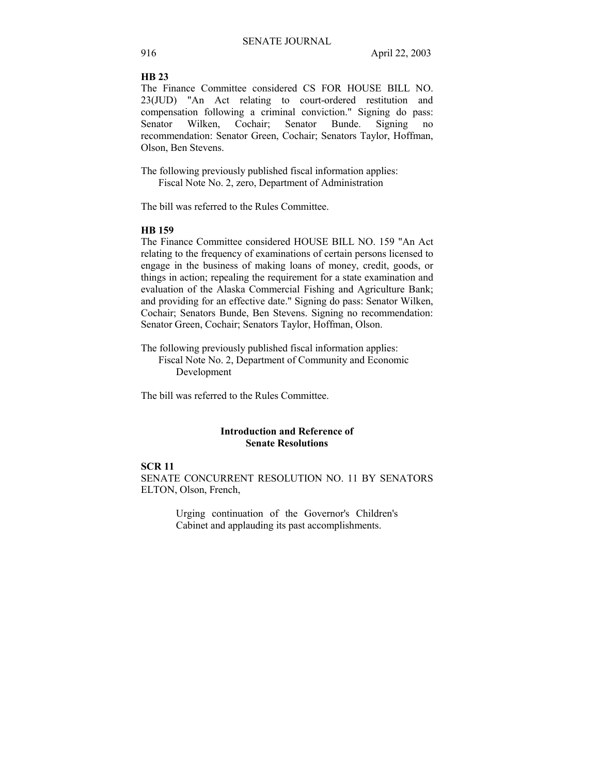#### **HB 23**

The Finance Committee considered CS FOR HOUSE BILL NO. 23(JUD) "An Act relating to court-ordered restitution and compensation following a criminal conviction." Signing do pass: Senator Wilken, Cochair; Senator Bunde. Signing no recommendation: Senator Green, Cochair; Senators Taylor, Hoffman, Olson, Ben Stevens.

The following previously published fiscal information applies: Fiscal Note No. 2, zero, Department of Administration

The bill was referred to the Rules Committee.

#### **HB 159**

The Finance Committee considered HOUSE BILL NO. 159 "An Act relating to the frequency of examinations of certain persons licensed to engage in the business of making loans of money, credit, goods, or things in action; repealing the requirement for a state examination and evaluation of the Alaska Commercial Fishing and Agriculture Bank; and providing for an effective date." Signing do pass: Senator Wilken, Cochair; Senators Bunde, Ben Stevens. Signing no recommendation: Senator Green, Cochair; Senators Taylor, Hoffman, Olson.

The following previously published fiscal information applies: Fiscal Note No. 2, Department of Community and Economic Development

The bill was referred to the Rules Committee.

#### **Introduction and Reference of Senate Resolutions**

# **SCR 11**

SENATE CONCURRENT RESOLUTION NO. 11 BY SENATORS ELTON, Olson, French,

> Urging continuation of the Governor's Children's Cabinet and applauding its past accomplishments.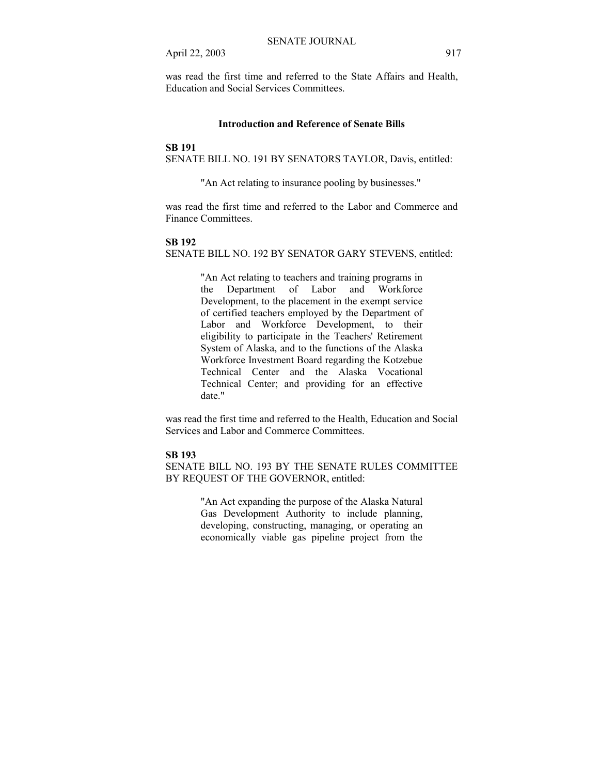was read the first time and referred to the State Affairs and Health, Education and Social Services Committees.

#### **Introduction and Reference of Senate Bills**

#### **SB 191**

SENATE BILL NO. 191 BY SENATORS TAYLOR, Davis, entitled:

"An Act relating to insurance pooling by businesses."

was read the first time and referred to the Labor and Commerce and Finance Committees.

#### **SB 192**

SENATE BILL NO. 192 BY SENATOR GARY STEVENS, entitled:

"An Act relating to teachers and training programs in the Department of Labor and Workforce Development, to the placement in the exempt service of certified teachers employed by the Department of Labor and Workforce Development, to their eligibility to participate in the Teachers' Retirement System of Alaska, and to the functions of the Alaska Workforce Investment Board regarding the Kotzebue Technical Center and the Alaska Vocational Technical Center; and providing for an effective date."

was read the first time and referred to the Health, Education and Social Services and Labor and Commerce Committees.

#### **SB 193**

SENATE BILL NO. 193 BY THE SENATE RULES COMMITTEE BY REQUEST OF THE GOVERNOR, entitled:

> "An Act expanding the purpose of the Alaska Natural Gas Development Authority to include planning, developing, constructing, managing, or operating an economically viable gas pipeline project from the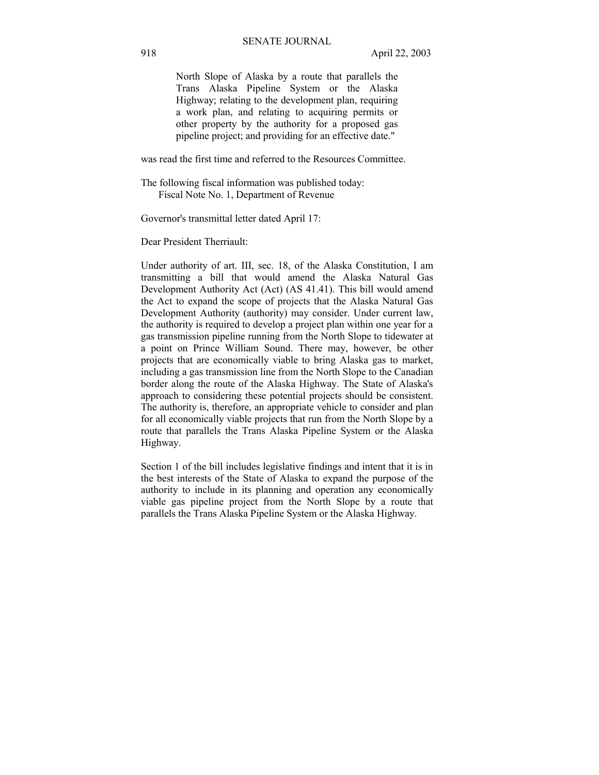North Slope of Alaska by a route that parallels the Trans Alaska Pipeline System or the Alaska Highway; relating to the development plan, requiring a work plan, and relating to acquiring permits or other property by the authority for a proposed gas pipeline project; and providing for an effective date."

was read the first time and referred to the Resources Committee.

The following fiscal information was published today: Fiscal Note No. 1, Department of Revenue

Governor's transmittal letter dated April 17:

Dear President Therriault:

Under authority of art. III, sec. 18, of the Alaska Constitution, I am transmitting a bill that would amend the Alaska Natural Gas Development Authority Act (Act) (AS 41.41). This bill would amend the Act to expand the scope of projects that the Alaska Natural Gas Development Authority (authority) may consider. Under current law, the authority is required to develop a project plan within one year for a gas transmission pipeline running from the North Slope to tidewater at a point on Prince William Sound. There may, however, be other projects that are economically viable to bring Alaska gas to market, including a gas transmission line from the North Slope to the Canadian border along the route of the Alaska Highway. The State of Alaska's approach to considering these potential projects should be consistent. The authority is, therefore, an appropriate vehicle to consider and plan for all economically viable projects that run from the North Slope by a route that parallels the Trans Alaska Pipeline System or the Alaska Highway.

Section 1 of the bill includes legislative findings and intent that it is in the best interests of the State of Alaska to expand the purpose of the authority to include in its planning and operation any economically viable gas pipeline project from the North Slope by a route that parallels the Trans Alaska Pipeline System or the Alaska Highway.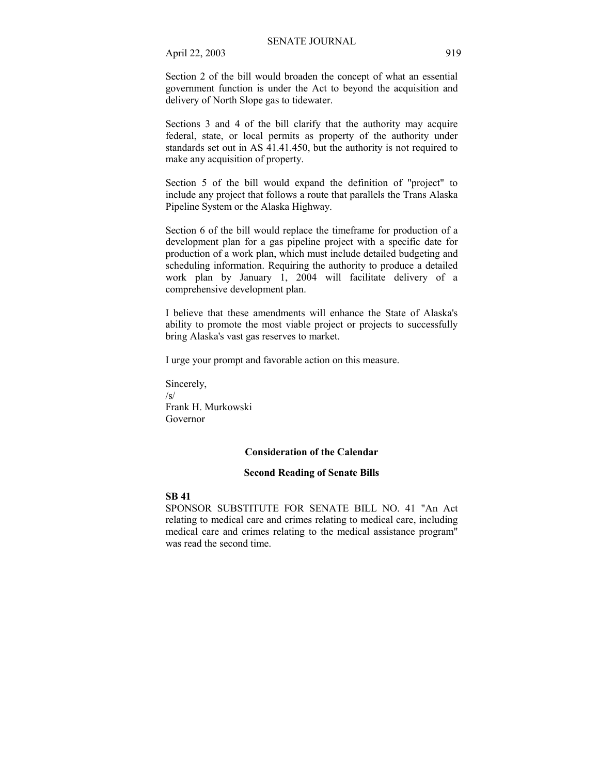Section 2 of the bill would broaden the concept of what an essential government function is under the Act to beyond the acquisition and delivery of North Slope gas to tidewater.

Sections 3 and 4 of the bill clarify that the authority may acquire federal, state, or local permits as property of the authority under standards set out in AS 41.41.450, but the authority is not required to make any acquisition of property.

Section 5 of the bill would expand the definition of "project" to include any project that follows a route that parallels the Trans Alaska Pipeline System or the Alaska Highway.

Section 6 of the bill would replace the timeframe for production of a development plan for a gas pipeline project with a specific date for production of a work plan, which must include detailed budgeting and scheduling information. Requiring the authority to produce a detailed work plan by January 1, 2004 will facilitate delivery of a comprehensive development plan.

I believe that these amendments will enhance the State of Alaska's ability to promote the most viable project or projects to successfully bring Alaska's vast gas reserves to market.

I urge your prompt and favorable action on this measure.

Sincerely, /s/ Frank H. Murkowski Governor

#### **Consideration of the Calendar**

#### **Second Reading of Senate Bills**

#### **SB 41**

SPONSOR SUBSTITUTE FOR SENATE BILL NO. 41 "An Act relating to medical care and crimes relating to medical care, including medical care and crimes relating to the medical assistance program" was read the second time.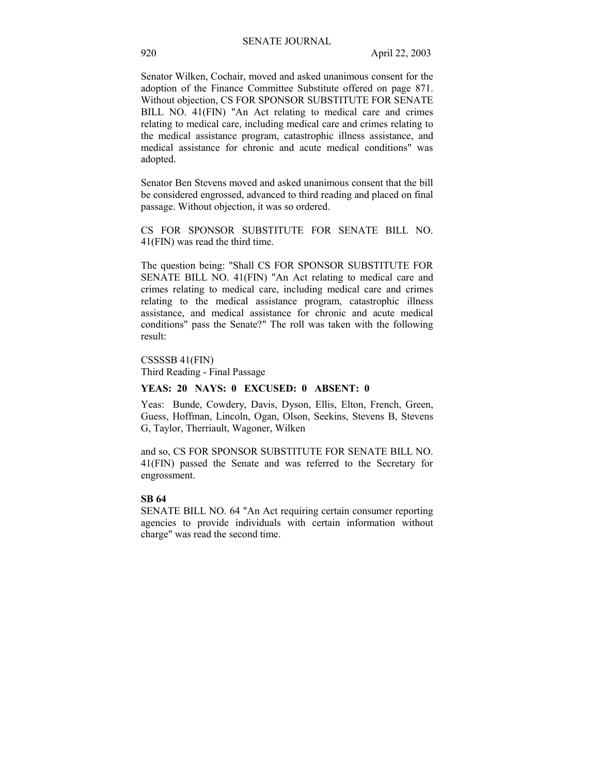Senator Wilken, Cochair, moved and asked unanimous consent for the adoption of the Finance Committee Substitute offered on page 871. Without objection, CS FOR SPONSOR SUBSTITUTE FOR SENATE BILL NO. 41(FIN) "An Act relating to medical care and crimes relating to medical care, including medical care and crimes relating to the medical assistance program, catastrophic illness assistance, and medical assistance for chronic and acute medical conditions" was adopted.

Senator Ben Stevens moved and asked unanimous consent that the bill be considered engrossed, advanced to third reading and placed on final passage. Without objection, it was so ordered.

CS FOR SPONSOR SUBSTITUTE FOR SENATE BILL NO. 41(FIN) was read the third time.

The question being: "Shall CS FOR SPONSOR SUBSTITUTE FOR SENATE BILL NO. 41(FIN) "An Act relating to medical care and crimes relating to medical care, including medical care and crimes relating to the medical assistance program, catastrophic illness assistance, and medical assistance for chronic and acute medical conditions" pass the Senate?" The roll was taken with the following result:

CSSSSB 41(FIN) Third Reading - Final Passage

# **YEAS: 20 NAYS: 0 EXCUSED: 0 ABSENT: 0**

Yeas: Bunde, Cowdery, Davis, Dyson, Ellis, Elton, French, Green, Guess, Hoffman, Lincoln, Ogan, Olson, Seekins, Stevens B, Stevens G, Taylor, Therriault, Wagoner, Wilken

and so, CS FOR SPONSOR SUBSTITUTE FOR SENATE BILL NO. 41(FIN) passed the Senate and was referred to the Secretary for engrossment.

#### **SB 64**

SENATE BILL NO. 64 "An Act requiring certain consumer reporting agencies to provide individuals with certain information without charge" was read the second time.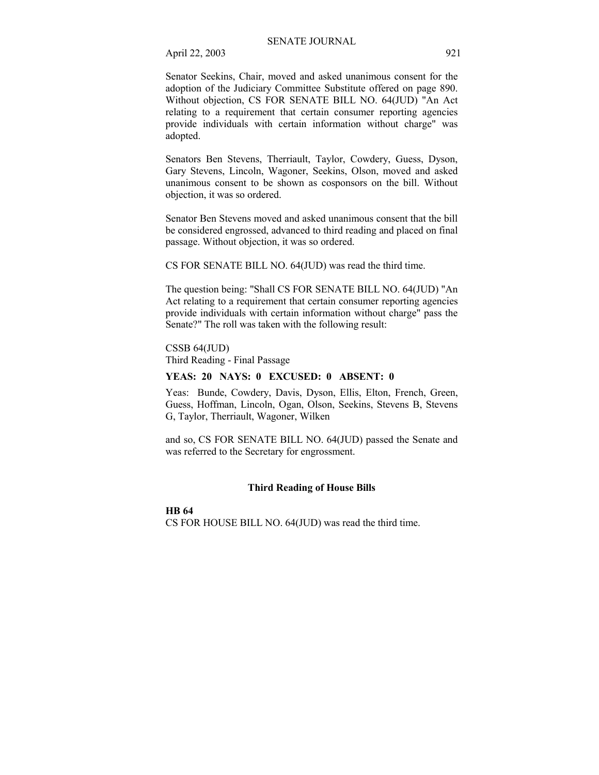Senator Seekins, Chair, moved and asked unanimous consent for the adoption of the Judiciary Committee Substitute offered on page 890. Without objection, CS FOR SENATE BILL NO. 64(JUD) "An Act relating to a requirement that certain consumer reporting agencies provide individuals with certain information without charge" was adopted.

Senators Ben Stevens, Therriault, Taylor, Cowdery, Guess, Dyson, Gary Stevens, Lincoln, Wagoner, Seekins, Olson, moved and asked unanimous consent to be shown as cosponsors on the bill. Without objection, it was so ordered.

Senator Ben Stevens moved and asked unanimous consent that the bill be considered engrossed, advanced to third reading and placed on final passage. Without objection, it was so ordered.

CS FOR SENATE BILL NO. 64(JUD) was read the third time.

The question being: "Shall CS FOR SENATE BILL NO. 64(JUD) "An Act relating to a requirement that certain consumer reporting agencies provide individuals with certain information without charge" pass the Senate?" The roll was taken with the following result:

CSSB 64(JUD) Third Reading - Final Passage

#### **YEAS: 20 NAYS: 0 EXCUSED: 0 ABSENT: 0**

Yeas: Bunde, Cowdery, Davis, Dyson, Ellis, Elton, French, Green, Guess, Hoffman, Lincoln, Ogan, Olson, Seekins, Stevens B, Stevens G, Taylor, Therriault, Wagoner, Wilken

and so, CS FOR SENATE BILL NO. 64(JUD) passed the Senate and was referred to the Secretary for engrossment.

#### **Third Reading of House Bills**

#### **HB 64**

CS FOR HOUSE BILL NO. 64(JUD) was read the third time.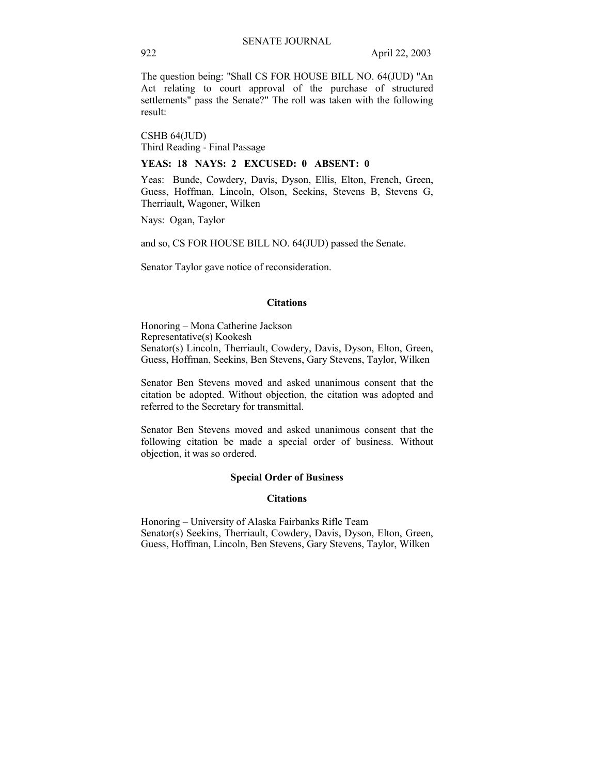The question being: "Shall CS FOR HOUSE BILL NO. 64(JUD) "An Act relating to court approval of the purchase of structured settlements" pass the Senate?" The roll was taken with the following result:

CSHB 64(JUD) Third Reading - Final Passage

### **YEAS: 18 NAYS: 2 EXCUSED: 0 ABSENT: 0**

Yeas: Bunde, Cowdery, Davis, Dyson, Ellis, Elton, French, Green, Guess, Hoffman, Lincoln, Olson, Seekins, Stevens B, Stevens G, Therriault, Wagoner, Wilken

Nays: Ogan, Taylor

and so, CS FOR HOUSE BILL NO. 64(JUD) passed the Senate.

Senator Taylor gave notice of reconsideration.

#### **Citations**

Honoring – Mona Catherine Jackson Representative(s) Kookesh Senator(s) Lincoln, Therriault, Cowdery, Davis, Dyson, Elton, Green, Guess, Hoffman, Seekins, Ben Stevens, Gary Stevens, Taylor, Wilken

Senator Ben Stevens moved and asked unanimous consent that the citation be adopted. Without objection, the citation was adopted and referred to the Secretary for transmittal.

Senator Ben Stevens moved and asked unanimous consent that the following citation be made a special order of business. Without objection, it was so ordered.

#### **Special Order of Business**

#### **Citations**

Honoring – University of Alaska Fairbanks Rifle Team Senator(s) Seekins, Therriault, Cowdery, Davis, Dyson, Elton, Green, Guess, Hoffman, Lincoln, Ben Stevens, Gary Stevens, Taylor, Wilken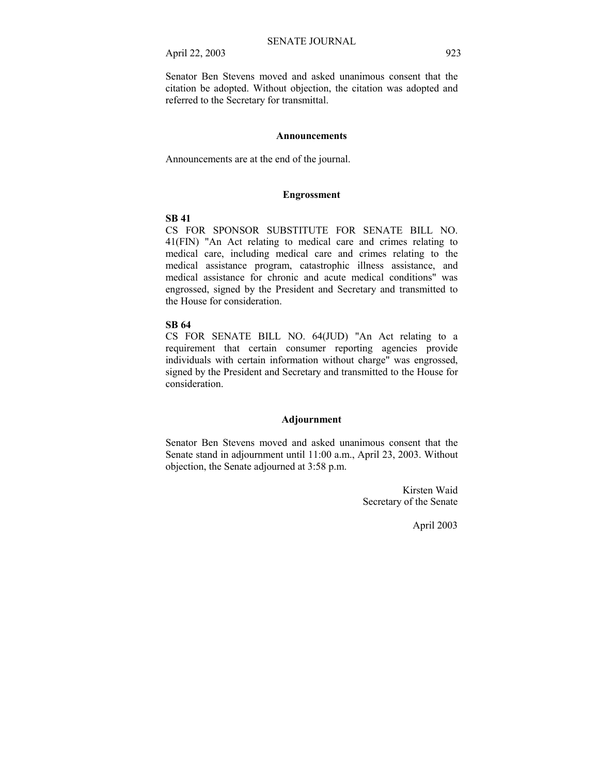Senator Ben Stevens moved and asked unanimous consent that the citation be adopted. Without objection, the citation was adopted and referred to the Secretary for transmittal.

#### **Announcements**

Announcements are at the end of the journal.

#### **Engrossment**

## **SB 41**

CS FOR SPONSOR SUBSTITUTE FOR SENATE BILL NO. 41(FIN) "An Act relating to medical care and crimes relating to medical care, including medical care and crimes relating to the medical assistance program, catastrophic illness assistance, and medical assistance for chronic and acute medical conditions" was engrossed, signed by the President and Secretary and transmitted to the House for consideration.

# **SB 64**

CS FOR SENATE BILL NO. 64(JUD) "An Act relating to a requirement that certain consumer reporting agencies provide individuals with certain information without charge" was engrossed, signed by the President and Secretary and transmitted to the House for consideration.

## **Adjournment**

Senator Ben Stevens moved and asked unanimous consent that the Senate stand in adjournment until 11:00 a.m., April 23, 2003. Without objection, the Senate adjourned at 3:58 p.m.

> Kirsten Waid Secretary of the Senate

> > April 2003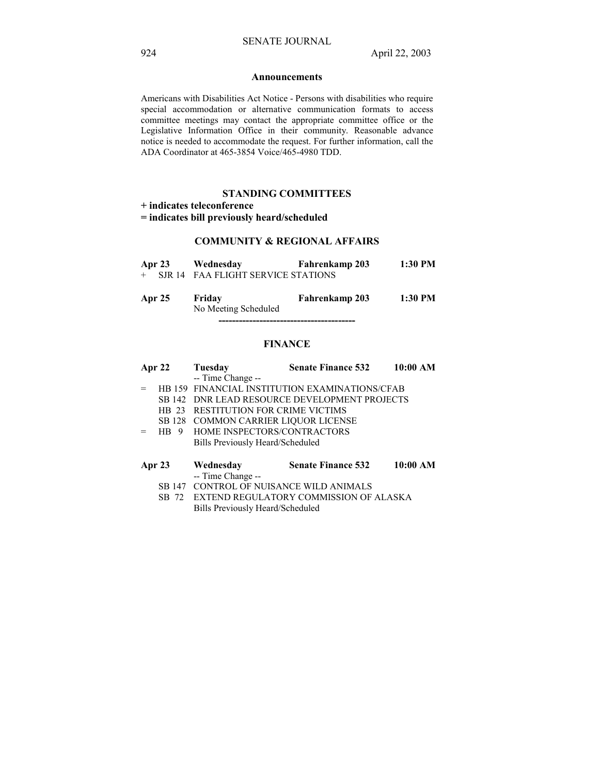#### **Announcements**

Americans with Disabilities Act Notice - Persons with disabilities who require special accommodation or alternative communication formats to access committee meetings may contact the appropriate committee office or the Legislative Information Office in their community. Reasonable advance notice is needed to accommodate the request. For further information, call the ADA Coordinator at 465-3854 Voice/465-4980 TDD.

### **STANDING COMMITTEES**

**+ indicates teleconference** 

**= indicates bill previously heard/scheduled** 

#### **COMMUNITY & REGIONAL AFFAIRS**

| Apr 23 | Wednesday                            | <b>Fahrenkamp 203</b> | 1:30 PM |
|--------|--------------------------------------|-----------------------|---------|
|        | + SJR 14 FAA FLIGHT SERVICE STATIONS |                       |         |
|        |                                      |                       |         |
| Apr 25 | Friday                               | Fahrenkamp 203        | 1:30 PM |

No Meeting Scheduled

### **FINANCE**

**----------------------------------------** 

| Apr $22$ | Tuesday                              | <b>Senate Finance 532</b>                      | 10:00 AM |
|----------|--------------------------------------|------------------------------------------------|----------|
|          | -- Time Change --                    |                                                |          |
|          |                                      | HB 159 FINANCIAL INSTITUTION EXAMINATIONS/CFAB |          |
|          |                                      | SB 142 DNR LEAD RESOURCE DEVELOPMENT PROJECTS  |          |
| HR 23    | <b>RESTITUTION FOR CRIME VICTIMS</b> |                                                |          |
| SB 128   | COMMON CARRIER LIQUOR LICENSE        |                                                |          |
| HB.<br>9 | HOME INSPECTORS/CONTRACTORS          |                                                |          |
|          | Bills Previously Heard/Scheduled     |                                                |          |
| Apr 23   | Wednesday                            | <b>Senate Finance 532</b>                      | 10:00 AM |
|          | -- Time Change --                    |                                                |          |
|          | CONTROL OF NUISANCE WILD ANIMALS     |                                                |          |

 SB 72 EXTEND REGULATORY COMMISSION OF ALASKA Bills Previously Heard/Scheduled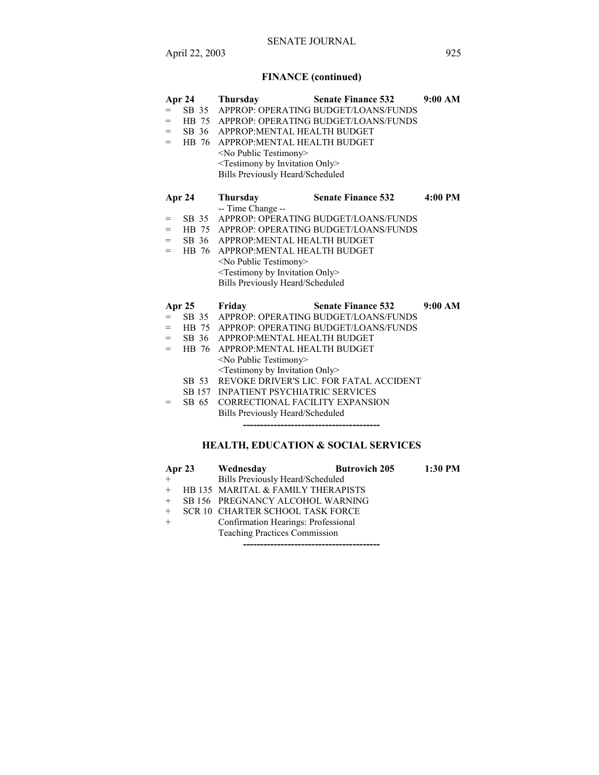# **FINANCE (continued)**

|     | <b>Apr 24</b> | <b>Thursday</b>                                     | <b>Senate Finance 532</b>                  | 9:00 AM |
|-----|---------------|-----------------------------------------------------|--------------------------------------------|---------|
| $=$ |               |                                                     | SB 35 APPROP: OPERATING BUDGET/LOANS/FUNDS |         |
| $=$ |               |                                                     | HB 75 APPROP: OPERATING BUDGET/LOANS/FUNDS |         |
| $=$ | SB 36         | APPROP: MENTAL HEALTH BUDGET                        |                                            |         |
| $=$ | HB 76         | APPROP: MENTAL HEALTH BUDGET                        |                                            |         |
|     |               | <no public="" testimony=""></no>                    |                                            |         |
|     |               | <testimony by="" invitation="" only=""></testimony> |                                            |         |
|     |               | <b>Bills Previously Heard/Scheduled</b>             |                                            |         |
|     | Apr 24        | <b>Thursday</b><br>-- Time Change --                | <b>Senate Finance 532</b>                  | 4:00 PM |
| $=$ | SB 35         |                                                     | APPROP: OPERATING BUDGET/LOANS/FUNDS       |         |
| $=$ |               |                                                     | HB 75 APPROP: OPERATING BUDGET/LOANS/FUNDS |         |
| $=$ | SB 36         | APPROP: MENTAL HEALTH BUDGET                        |                                            |         |
| $=$ | HB 76         | APPROP: MENTAL HEALTH BUDGET                        |                                            |         |
|     |               | <no public="" testimony=""></no>                    |                                            |         |
|     |               | <testimony by="" invitation="" only=""></testimony> |                                            |         |
|     |               | <b>Bills Previously Heard/Scheduled</b>             |                                            |         |
|     | Apr 25 Friday |                                                     | <b>Senate Finance 532</b>                  | 9:00 AM |
| $=$ |               |                                                     | SB 35 APPROP: OPERATING BUDGET/LOANS/FUNDS |         |
| $=$ |               |                                                     | HB 75 APPROP: OPERATING BUDGET/LOANS/FUNDS |         |
| $=$ | SB 36         | APPROP: MENTAL HEALTH BUDGET                        |                                            |         |
| $=$ | HB 76         | APPROP: MENTAL HEALTH BUDGET                        |                                            |         |
|     |               | <no public="" testimony=""></no>                    |                                            |         |
|     |               | <testimony by="" invitation="" only=""></testimony> |                                            |         |
|     | SB 53         |                                                     | REVOKE DRIVER'S LIC. FOR FATAL ACCIDENT    |         |
|     |               | <b>SB 157 INPATIENT PSYCHIATRIC SERVICES</b>        |                                            |         |
| =   | SB 65         | <b>CORRECTIONAL FACILITY EXPANSION</b>              |                                            |         |
|     |               | Bills Previously Heard/Scheduled                    |                                            |         |
|     |               |                                                     |                                            |         |

# **HEALTH, EDUCATION & SOCIAL SERVICES**

|     | Apr 23 Wednesday                     | <b>Butrovich 205</b> | 1:30 PM |
|-----|--------------------------------------|----------------------|---------|
| $+$ | Bills Previously Heard/Scheduled     |                      |         |
|     | + HB 135 MARITAL & FAMILY THERAPISTS |                      |         |
|     | + SB 156 PREGNANCY ALCOHOL WARNING   |                      |         |
|     | + SCR 10 CHARTER SCHOOL TASK FORCE   |                      |         |
| $+$ | Confirmation Hearings: Professional  |                      |         |
|     | <b>Teaching Practices Commission</b> |                      |         |
|     |                                      |                      |         |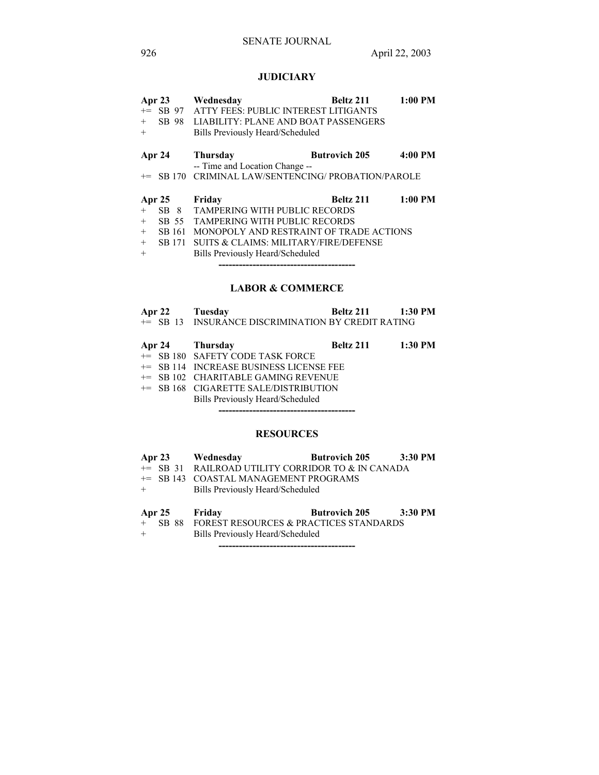# **JUDICIARY**

| Apr 23 |               | Wednesday                                        | Beltz 211            | $1:00$ PM |
|--------|---------------|--------------------------------------------------|----------------------|-----------|
|        | $+=$ SB 97    | ATTY FEES: PUBLIC INTEREST LITIGANTS             |                      |           |
| $+$    | SB 98         | LIABILITY: PLANE AND BOAT PASSENGERS             |                      |           |
| $+$    |               | Bills Previously Heard/Scheduled                 |                      |           |
|        | Apr 24        | Thursday                                         | <b>Butrovich 205</b> | $4:00$ PM |
|        |               | -- Time and Location Change --                   |                      |           |
| $+=$   |               | SB 170 CRIMINAL LAW/SENTENCING/ PROBATION/PAROLE |                      |           |
|        | <b>Apr 25</b> | Friday                                           | Beltz 211            | $1:00$ PM |
| $+$    | SB 8          | <b>TAMPERING WITH PUBLIC RECORDS</b>             |                      |           |
| $+$    | SB 55         | <b>TAMPERING WITH PUBLIC RECORDS</b>             |                      |           |
| $+$    | SB 161        | MONOPOLY AND RESTRAINT OF TRADE ACTIONS          |                      |           |
| $+$    | SB 171        | SUITS & CLAIMS: MILITARY/FIRE/DEFENSE            |                      |           |
| $+$    |               | Bills Previously Heard/Scheduled                 |                      |           |
|        |               |                                                  |                      |           |

# **LABOR & COMMERCE**

| Apr 22 | Tuesday                                            | Beltz 211 | 1:30 PM |
|--------|----------------------------------------------------|-----------|---------|
|        | += SB 13 INSURANCE DISCRIMINATION BY CREDIT RATING |           |         |

|  | Apr 24 Thursday                           | Beltz 211 1:30 PM |  |
|--|-------------------------------------------|-------------------|--|
|  | += SB 180 SAFETY CODE TASK FORCE          |                   |  |
|  | $+=$ SB 114 INCREASE BUSINESS LICENSE FEE |                   |  |
|  | += SB 102 CHARITABLE GAMING REVENUE       |                   |  |
|  | += SB 168 CIGARETTE SALE/DISTRIBUTION     |                   |  |
|  | Bills Previously Heard/Scheduled          |                   |  |
|  |                                           |                   |  |

# **RESOURCES**

|     |               | Apr 23 Wednesday                                  | Butrovich 205 3:30 PM |  |
|-----|---------------|---------------------------------------------------|-----------------------|--|
|     |               | += SB 31 RAILROAD UTILITY CORRIDOR TO & IN CANADA |                       |  |
|     |               | += SB 143 COASTAL MANAGEMENT PROGRAMS             |                       |  |
| $+$ |               | Bills Previously Heard/Scheduled                  |                       |  |
|     |               |                                                   |                       |  |
|     | Apr 25 Friday |                                                   | Butrovich 205 3:30 PM |  |
|     |               | + SB 88 FOREST RESOURCES & PRACTICES STANDARDS    |                       |  |
| $+$ |               | Bills Previously Heard/Scheduled                  |                       |  |

**----------------------------------------**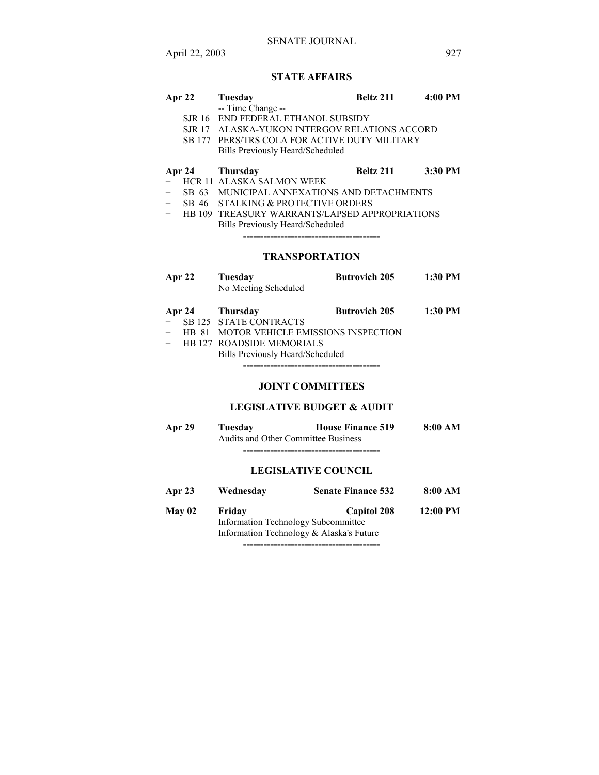# **STATE AFFAIRS**

| Apr 22 | Tuesday                                       | Beltz 211 | $4:00 \text{ PM}$ |
|--------|-----------------------------------------------|-----------|-------------------|
|        | -- Time Change --                             |           |                   |
|        | SJR 16 END FEDERAL ETHANOL SUBSIDY            |           |                   |
|        | SJR 17 ALASKA-YUKON INTERGOV RELATIONS ACCORD |           |                   |

- 
- SB 177 PERS/TRS COLA FOR ACTIVE DUTY MILITARY Bills Previously Heard/Scheduled

#### **Apr 24 Thursday Beltz 211 3:30 PM**

- + HCR 11 ALASKA SALMON WEEK
- + SB 63 MUNICIPAL ANNEXATIONS AND DETACHMENTS
- + SB 46 STALKING & PROTECTIVE ORDERS
- + HB 109 TREASURY WARRANTS/LAPSED APPROPRIATIONS Bills Previously Heard/Scheduled

**----------------------------------------**

# **TRANSPORTATION**

| Apr $22$ | Tuesday                | <b>Butrovich 205</b> | 1:30 PM |
|----------|------------------------|----------------------|---------|
|          | No Meeting Scheduled   |                      |         |
|          |                        |                      |         |
|          | Apr 24 Thursday        | <b>Butrovich 205</b> | 1:30 PM |
|          | SB 125 STATE CONTRACTS |                      |         |

+ HB 127 ROADSIDE MEMORIALS

Bills Previously Heard/Scheduled

**----------------------------------------**

# **JOINT COMMITTEES**

#### **LEGISLATIVE BUDGET & AUDIT**

| Apr 29 | Tuesdav | <b>House Finance 519</b>                   | 8:00 AM |
|--------|---------|--------------------------------------------|---------|
|        |         | <b>Audits and Other Committee Business</b> |         |
|        |         |                                            |         |

### **LEGISLATIVE COUNCIL**

| Apr 23        | Wednesday | <b>Senate Finance 532</b>                                                                             | 8:00 AM    |
|---------------|-----------|-------------------------------------------------------------------------------------------------------|------------|
| <b>May 02</b> | Friday    | <b>Capitol 208</b><br>Information Technology Subcommittee<br>Information Technology & Alaska's Future | $12:00$ PM |
|               |           |                                                                                                       |            |